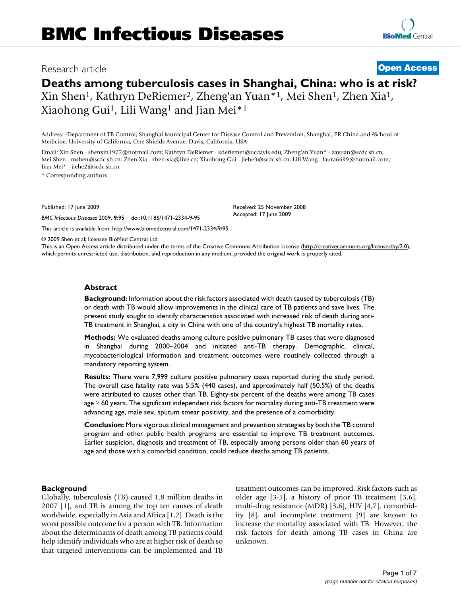## Research article **[Open Access](http://www.biomedcentral.com/info/about/charter/)**

# **Deaths among tuberculosis cases in Shanghai, China: who is at risk?** Xin Shen1, Kathryn DeRiemer2, Zheng'an Yuan\*1, Mei Shen1, Zhen Xia1, Xiaohong Gui1, Lili Wang1 and Jian Mei\*1

Address: 1Department of TB Control, Shanghai Municipal Center for Disease Control and Prevention, Shanghai, PR China and 2School of Medicine, University of California, One Shields Avenue, Davis, California, USA

Email: Xin Shen - shenxin1977@hotmail.com; Kathryn DeRiemer - kderiemer@ucdavis.edu; Zheng'an Yuan\* - zayuan@scdc.sh.cn; Mei Shen - mshen@scdc.sh.cn; Zhen Xia - zhen.xia@live.cn; Xiaohong Gui - jiehe3@scdc.sh.cn; Lili Wang - laura6699@hotmail.com; Jian Mei\* - jiehe2@scdc.sh.cn

\* Corresponding authors

Published: 17 June 2009

*BMC Infectious Diseases* 2009, **9**:95 doi:10.1186/1471-2334-9-95

[This article is available from: http://www.biomedcentral.com/1471-2334/9/95](http://www.biomedcentral.com/1471-2334/9/95)

© 2009 Shen et al; licensee BioMed Central Ltd. This is an Open Access article distributed under the terms of the Creative Commons Attribution License [\(http://creativecommons.org/licenses/by/2.0\)](http://creativecommons.org/licenses/by/2.0), which permits unrestricted use, distribution, and reproduction in any medium, provided the original work is properly cited.

Received: 25 November 2008 Accepted: 17 June 2009

#### **Abstract**

**Background:** Information about the risk factors associated with death caused by tuberculosis (TB) or death with TB would allow improvements in the clinical care of TB patients and save lives. The present study sought to identify characteristics associated with increased risk of death during anti-TB treatment in Shanghai, a city in China with one of the country's highest TB mortality rates.

**Methods:** We evaluated deaths among culture positive pulmonary TB cases that were diagnosed in Shanghai during 2000–2004 and initiated anti-TB therapy. Demographic, clinical, mycobacteriological information and treatment outcomes were routinely collected through a mandatory reporting system.

**Results:** There were 7,999 culture positive pulmonary cases reported during the study period. The overall case fatality rate was 5.5% (440 cases), and approximately half (50.5%) of the deaths were attributed to causes other than TB. Eighty-six percent of the deaths were among TB cases age ≥ 60 years. The significant independent risk factors for mortality during anti-TB treatment were advancing age, male sex, sputum smear positivity, and the presence of a comorbidity.

**Conclusion:** More vigorous clinical management and prevention strategies by both the TB control program and other public health programs are essential to improve TB treatment outcomes. Earlier suspicion, diagnosis and treatment of TB, especially among persons older than 60 years of age and those with a comorbid condition, could reduce deaths among TB patients.

#### **Background**

Globally, tuberculosis (TB) caused 1.8 million deaths in 2007 [1], and TB is among the top ten causes of death worldwide, especially in Asia and Africa [1,2]. Death is the worst possible outcome for a person with TB. Information about the determinants of death among TB patients could help identify individuals who are at higher risk of death so that targeted interventions can be implemented and TB treatment outcomes can be improved. Risk factors such as older age [3-5], a history of prior TB treatment [3,6], multi-drug resistance (MDR) [3,6], HIV [4,7], comorbidity [8], and incomplete treatment [9] are known to increase the mortality associated with TB. However, the risk factors for death among TB cases in China are unknown.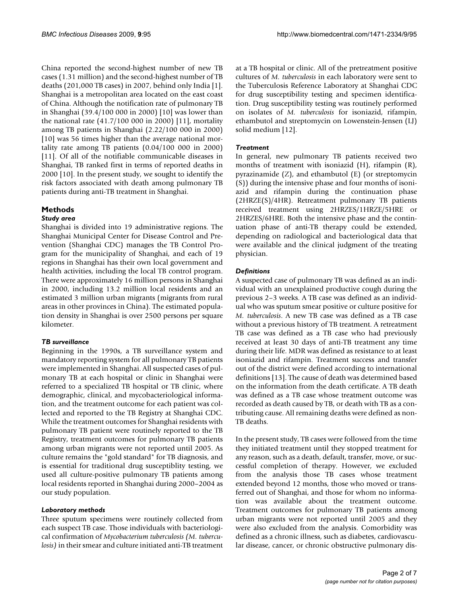China reported the second-highest number of new TB cases (1.31 million) and the second-highest number of TB deaths (201,000 TB cases) in 2007, behind only India [1]. Shanghai is a metropolitan area located on the east coast of China. Although the notification rate of pulmonary TB in Shanghai (39.4/100 000 in 2000) [10] was lower than the national rate (41.7/100 000 in 2000) [11], mortality among TB patients in Shanghai (2.22/100 000 in 2000) [10] was 56 times higher than the average national mortality rate among TB patients (0.04/100 000 in 2000) [11]. Of all of the notifiable communicable diseases in Shanghai, TB ranked first in terms of reported deaths in 2000 [10]. In the present study, we sought to identify the risk factors associated with death among pulmonary TB patients during anti-TB treatment in Shanghai.

## **Methods**

## *Study area*

Shanghai is divided into 19 administrative regions. The Shanghai Municipal Center for Disease Control and Prevention (Shanghai CDC) manages the TB Control Program for the municipality of Shanghai, and each of 19 regions in Shanghai has their own local government and health activities, including the local TB control program. There were approximately 16 million persons in Shanghai in 2000, including 13.2 million local residents and an estimated 3 million urban migrants (migrants from rural areas in other provinces in China). The estimated population density in Shanghai is over 2500 persons per square kilometer.

## *TB surveillance*

Beginning in the 1990s, a TB surveillance system and mandatory reporting system for all pulmonary TB patients were implemented in Shanghai. All suspected cases of pulmonary TB at each hospital or clinic in Shanghai were referred to a specialized TB hospital or TB clinic, where demographic, clinical, and mycobacteriological information, and the treatment outcome for each patient was collected and reported to the TB Registry at Shanghai CDC. While the treatment outcomes for Shanghai residents with pulmonary TB patient were routinely reported to the TB Registry, treatment outcomes for pulmonary TB patients among urban migrants were not reported until 2005. As culture remains the "gold standard" for TB diagnosis, and is essential for traditional drug susceptiblity testing, we used all culture-positive pulmonary TB patients among local residents reported in Shanghai during 2000–2004 as our study population.

## *Laboratory methods*

Three sputum specimens were routinely collected from each suspect TB case. Those individuals with bacteriological confirmation of *Mycobacterium tuberculosis (M. tuberculosis)* in their smear and culture initiated anti-TB treatment

at a TB hospital or clinic. All of the pretreatment positive cultures of *M. tuberculosis* in each laboratory were sent to the Tuberculosis Reference Laboratory at Shanghai CDC for drug susceptibility testing and specimen identification. Drug susceptibility testing was routinely performed on isolates of *M. tuberculosis* for isoniazid, rifampin, ethambutol and streptomycin on Lowenstein-Jensen (LJ) solid medium [12].

## *Treatment*

In general, new pulmonary TB patients received two months of treatment with isoniazid (H), rifampin (R), pyrazinamide (Z), and ethambutol (E) (or streptomycin (S)) during the intensive phase and four months of isoniazid and rifampin during the continuation phase (2HRZE(S)/4HR). Retreatment pulmonary TB patients received treatment using 2HRZES/1HRZE/5HRE or 2HRZES/6HRE. Both the intensive phase and the continuation phase of anti-TB therapy could be extended, depending on radiological and bacteriological data that were available and the clinical judgment of the treating physician.

## *Definitions*

A suspected case of pulmonary TB was defined as an individual with an unexplained productive cough during the previous 2–3 weeks. A TB case was defined as an individual who was sputum smear positive or culture positive for *M. tuberculosis*. A new TB case was defined as a TB case without a previous history of TB treatment. A retreatment TB case was defined as a TB case who had previously received at least 30 days of anti-TB treatment any time during their life. MDR was defined as resistance to at least isoniazid and rifampin. Treatment success and transfer out of the district were defined according to international definitions [13]. The cause of death was determined based on the information from the death certificate. A TB death was defined as a TB case whose treatment outcome was recorded as death caused by TB, or death with TB as a contributing cause. All remaining deaths were defined as non-TB deaths.

In the present study, TB cases were followed from the time they initiated treatment until they stopped treatment for any reason, such as a death, default, transfer, move, or successful completion of therapy. However, we excluded from the analysis those TB cases whose treatment extended beyond 12 months, those who moved or transferred out of Shanghai, and those for whom no information was available about the treatment outcome. Treatment outcomes for pulmonary TB patients among urban migrants were not reported until 2005 and they were also excluded from the analysis. Comorbidity was defined as a chronic illness, such as diabetes, cardiovascular disease, cancer, or chronic obstructive pulmonary dis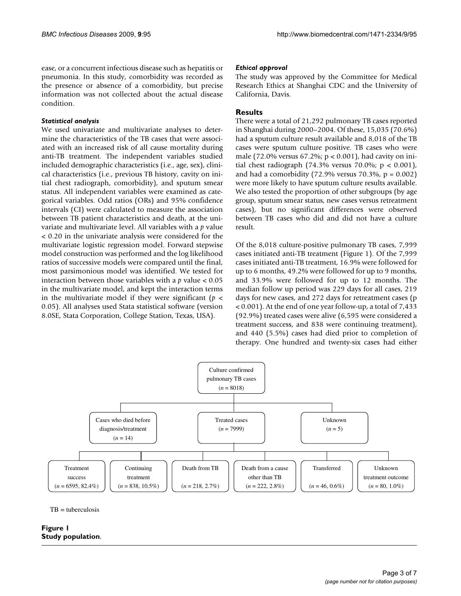ease, or a concurrent infectious disease such as hepatitis or pneumonia. In this study, comorbidity was recorded as the presence or absence of a comorbidity, but precise information was not collected about the actual disease condition.

## *Statistical analysis*

We used univariate and multivariate analyses to determine the characteristics of the TB cases that were associated with an increased risk of all cause mortality during anti-TB treatment. The independent variables studied included demographic characteristics (i.e., age, sex), clinical characteristics (i.e., previous TB history, cavity on initial chest radiograph, comorbidity), and sputum smear status. All independent variables were examined as categorical variables. Odd ratios (ORs) and 95% confidence intervals (CI) were calculated to measure the association between TB patient characteristics and death, at the univariate and multivariate level. All variables with a *p* value < 0.20 in the univariate analysis were considered for the multivariate logistic regression model. Forward stepwise model construction was performed and the log likelihood ratios of successive models were compared until the final, most parsimonious model was identified. We tested for interaction between those variables with a *p* value < 0.05 in the multivariate model, and kept the interaction terms in the multivariate model if they were significant (*p* < 0.05). All analyses used Stata statistical software (version 8.0SE, Stata Corporation, College Station, Texas, USA).

### *Ethical approval*

The study was approved by the Committee for Medical Research Ethics at Shanghai CDC and the University of California, Davis.

## **Results**

There were a total of 21,292 pulmonary TB cases reported in Shanghai during 2000–2004. Of these, 15,035 (70.6%) had a sputum culture result available and 8,018 of the TB cases were sputum culture positive. TB cases who were male (72.0% versus 67.2%; p < 0.001), had cavity on initial chest radiograph (74.3% versus 70.0%;  $p < 0.001$ ), and had a comorbidity (72.9% versus 70.3%,  $p = 0.002$ ) were more likely to have sputum culture results available. We also tested the proportion of other subgroups (by age group, sputum smear status, new cases versus retreatment cases), but no significant differences were observed between TB cases who did and did not have a culture result.

Of the 8,018 culture-positive pulmonary TB cases, 7,999 cases initiated anti-TB treatment (Figure 1). Of the 7,999 cases initiated anti-TB treatment, 16.9% were followed for up to 6 months, 49.2% were followed for up to 9 months, and 33.9% were followed for up to 12 months. The median follow up period was 229 days for all cases, 219 days for new cases, and 272 days for retreatment cases (p < 0.001). At the end of one year follow-up, a total of 7,433 (92.9%) treated cases were alive (6,595 were considered a treatment success, and 838 were continuing treatment), and 440 (5.5%) cases had died prior to completion of therapy. One hundred and twenty-six cases had either



 $TB =$ tuberculosis

## **Figure 1 Study population**.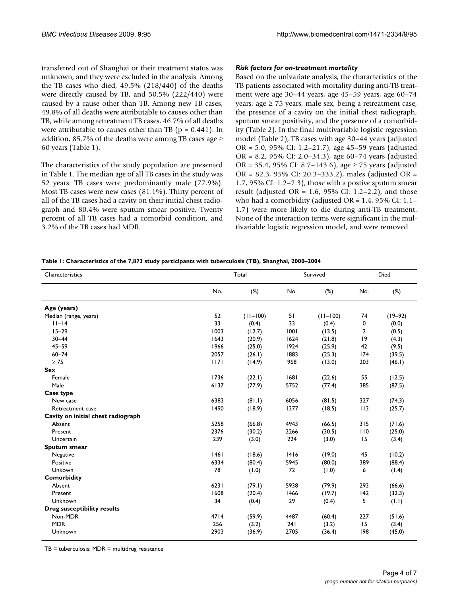transferred out of Shanghai or their treatment status was unknown, and they were excluded in the analysis. Among the TB cases who died, 49.5% (218/440) of the deaths were directly caused by TB, and 50.5% (222/440) were caused by a cause other than TB. Among new TB cases, 49.8% of all deaths were attributable to causes other than TB, while among retreatment TB cases, 46.7% of all deaths were attributable to causes other than TB ( $p = 0.441$ ). In addition, 85.7% of the deaths were among TB cases age  $\geq$ 60 years (Table 1).

The characteristics of the study population are presented in Table 1. The median age of all TB cases in the study was 52 years. TB cases were predominantly male (77.9%). Most TB cases were new cases (81.1%). Thirty percent of all of the TB cases had a cavity on their initial chest radiograph and 80.4% were sputum smear positive. Twenty percent of all TB cases had a comorbid condition, and 3.2% of the TB cases had MDR.

### *Risk factors for on-treatment mortality*

Based on the univariate analysis, the characteristics of the TB patients associated with mortality during anti-TB treatment were age 30–44 years, age 45–59 years, age 60–74 years, age  $\geq$  75 years, male sex, being a retreatment case, the presence of a cavity on the initial chest radiograph, sputum smear positivity, and the presence of a comorbidity (Table 2). In the final multivariable logistic regression model (Table 2), TB cases with age 30–44 years (adjusted OR = 5.0, 95% CI: 1.2–21.7), age 45–59 years (adjusted OR = 8.2, 95% CI: 2.0–34.3), age 60–74 years (adjusted OR = 35.4, 95% CI: 8.7–143.6), age  $\geq$  75 years (adjusted OR = 82.3, 95% CI: 20.3–333.2), males (adjusted OR = 1.7, 95% CI: 1.2–2.3), those with a postive sputum smear result (adjusted OR =  $1.6$ ,  $95\%$  CI:  $1.2-2.2$ ), and those who had a comorbidity (adjusted OR = 1.4, 95% CI: 1.1– 1.7) were more likely to die during anti-TB treatment. None of the interaction terms were significant in the multivariable logistic regression model, and were removed.

#### **Table 1: Characteristics of the 7,873 study participants with tuberculosis (TB), Shanghai, 2000–2004**

| Characteristics                    | Total | Survived     |      | Died         |     |             |
|------------------------------------|-------|--------------|------|--------------|-----|-------------|
|                                    | No.   | $(\%)$       | No.  | (%)          | No. | $(\%)$      |
| Age (years)                        |       |              |      |              |     |             |
| Median (range, years)              | 52    | $(11 - 100)$ | 51   | $(11 - 100)$ | 74  | $(19 - 92)$ |
| $ 1 - 4 $                          | 33    | (0.4)        | 33   | (0.4)        | 0   | (0.0)       |
| $15 - 29$                          | 1003  | (12.7)       | 1001 | (13.5)       | 2   | (0.5)       |
| $30 - 44$                          | 1643  | (20.9)       | 1624 | (21.8)       | 9   | (4.3)       |
| $45 - 59$                          | 1966  | (25.0)       | 1924 | (25.9)       | 42  | (9.5)       |
| $60 - 74$                          | 2057  | (26.1)       | 1883 | (25.3)       | 174 | (39.5)      |
| $\geq 75$                          | 1171  | (14.9)       | 968  | (13.0)       | 203 | (46.1)      |
| <b>Sex</b>                         |       |              |      |              |     |             |
| Female                             | 1736  | (22.1)       | 1681 | (22.6)       | 55  | (12.5)      |
| Male                               | 6137  | (77.9)       | 5752 | (77.4)       | 385 | (87.5)      |
| Case type                          |       |              |      |              |     |             |
| New case                           | 6383  | (81.1)       | 6056 | (81.5)       | 327 | (74.3)      |
| Retreatment case                   | 1490  | (18.9)       | 1377 | (18.5)       | 113 | (25.7)      |
| Cavity on initial chest radiograph |       |              |      |              |     |             |
| Absent                             | 5258  | (66.8)       | 4943 | (66.5)       | 315 | (71.6)      |
| Present                            | 2376  | (30.2)       | 2266 | (30.5)       | 110 | (25.0)      |
| Uncertain                          | 239   | (3.0)        | 224  | (3.0)        | 15  | (3.4)       |
| Sputum smear                       |       |              |      |              |     |             |
| Negative                           | 46    | (18.6)       | 1416 | (19.0)       | 45  | (10.2)      |
| Positive                           | 6334  | (80.4)       | 5945 | (80.0)       | 389 | (88.4)      |
| Unkown                             | 78    | (1.0)        | 72   | (1.0)        | 6   | (1.4)       |
| <b>Comorbidity</b>                 |       |              |      |              |     |             |
| Absent                             | 6231  | (79.1)       | 5938 | (79.9)       | 293 | (66.6)      |
| Present                            | 1608  | (20.4)       | 1466 | (19.7)       | 142 | (32.3)      |
| Unknown                            | 34    | (0.4)        | 29   | (0.4)        | 5   | (1.1)       |
| <b>Drug susceptibility results</b> |       |              |      |              |     |             |
| Non-MDR                            | 4714  | (59.9)       | 4487 | (60.4)       | 227 | (51.6)      |
| <b>MDR</b>                         | 256   | (3.2)        | 241  | (3.2)        | 15  | (3.4)       |
| Unknown                            | 2903  | (36.9)       | 2705 | (36.4)       | 198 | (45.0)      |

 $TB =$  tuberculosis;  $MDR =$  multidrug resistance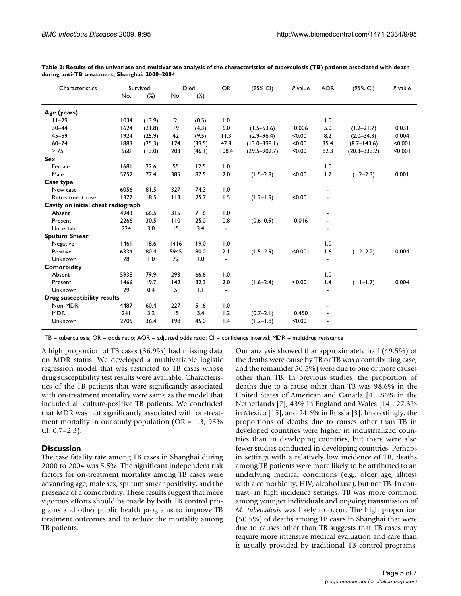| Characteristics                    | Survived |        | Died         |                  | <b>OR</b>      | (95% CI)         | P value | <b>AOR</b> | (95% CI)         | P value |
|------------------------------------|----------|--------|--------------|------------------|----------------|------------------|---------|------------|------------------|---------|
|                                    | No.      | $(\%)$ | No.          | $(\%)$           |                |                  |         |            |                  |         |
| Age (years)                        |          |        |              |                  |                |                  |         |            |                  |         |
| $11 - 29$                          | 1034     | (13.9) | $\mathbf{2}$ | (0.5)            | 1.0            |                  |         | 1.0        |                  |         |
| $30 - 44$                          | 1624     | (21.8) | 19           | (4.3)            | 6.0            | $(1.5 - 53.6)$   | 0.006   | 5.0        | $(1.2 - 21.7)$   | 0.031   |
| $45 - 59$                          | 1924     | (25.9) | 42           | (9.5)            | 11.3           | $(2.9 - 96.4)$   | < 0.001 | 8.2        | $(2.0 - 34.3)$   | 0.004   |
| $60 - 74$                          | 1883     | (25.3) | 174          | (39.5)           | 47.8           | $(13.0 - 398.1)$ | < 0.001 | 35.4       | $(8.7 - 143.6)$  | < 0.001 |
| $\geq 75$                          | 968      | (13.0) | 203          | (46.1)           | 108.4          | $(29.5 - 902.7)$ | < 0.001 | 82.3       | $(20.3 - 333.2)$ | < 0.001 |
| <b>Sex</b>                         |          |        |              |                  |                |                  |         |            |                  |         |
| Female                             | 1681     | 22.6   | 55           | 12.5             | 1.0            |                  |         | 1.0        |                  |         |
| Male                               | 5752     | 77.4   | 385          | 87.5             | 2.0            | $(1.5 - 2.8)$    | < 0.001 | 1.7        | $(1.2 - 2.3)$    | 0.001   |
| Case type                          |          |        |              |                  |                |                  |         |            |                  |         |
| New case                           | 6056     | 81.5   | 327          | 74.3             | 1.0            |                  |         |            |                  |         |
| Retreatment case                   | 1377     | 18.5   | 113          | 25.7             | 1.5            | $(1.2 - 1.9)$    | < 0.001 |            |                  |         |
| Cavity on initial chest radiograph |          |        |              |                  |                |                  |         |            |                  |         |
| Absent                             | 4943     | 66.5   | 315          | 71.6             | 1.0            |                  |         |            |                  |         |
| Present                            | 2266     | 30.5   | 110          | 25.0             | 0.8            | $(0.6 - 0.9)$    | 0.016   |            |                  |         |
| Uncertain                          | 224      | 3.0    | 15           | 3.4              | $\blacksquare$ |                  |         |            |                  |         |
| <b>Sputum Smear</b>                |          |        |              |                  |                |                  |         |            |                  |         |
| Negative                           | 1461     | 18.6   | 1416         | 19.0             | 1.0            |                  |         | 1.0        |                  |         |
| Positive                           | 6334     | 80.4   | 5945         | 80.0             | 2.1            | $(1.5 - 2.9)$    | < 0.001 | 1.6        | $(1.2 - 2.2)$    | 0.004   |
| Unknown                            | 78       | 1.0    | 72           | 1.0              | $\blacksquare$ |                  |         |            |                  |         |
| <b>Comorbidity</b>                 |          |        |              |                  |                |                  |         |            |                  |         |
| Absent                             | 5938     | 79.9   | 293          | 66.6             | 1.0            |                  |         | 1.0        |                  |         |
| Present                            | 1466     | 19.7   | 142          | 32.3             | 2.0            | $(1.6 - 2.4)$    | < 0.001 | 1.4        | $(1.1 - 1.7)$    | 0.004   |
| Unknown                            | 29       | 0.4    | 5            | $\overline{1}$ . |                |                  |         |            |                  |         |
| <b>Drug susceptibility results</b> |          |        |              |                  |                |                  |         |            |                  |         |
| Non-MDR                            | 4487     | 60.4   | 227          | 51.6             | 1.0            |                  |         |            |                  |         |
| <b>MDR</b>                         | 241      | 3.2    | 15           | 3.4              | 1.2            | $(0.7-2.1)$      | 0.450   |            |                  |         |
| Unknown                            | 2705     | 36.4   | 198          | 45.0             | 1.4            | $(1.2 - 1.8)$    | < 0.001 |            |                  |         |

**Table 2: Results of the univariate and multivariate analysis of the characteristics of tuberculosis (TB) patients associated with death during anti-TB treatment, Shanghai, 2000–2004**

TB = tuberculosis; OR = odds ratio; AOR = adjusted odds ratio; CI = confidence interval; MDR = multidrug resistance

A high proportion of TB cases (36.9%) had missing data on MDR status. We developed a multivariable logistic regression model that was restricted to TB cases whose drug susceptibility test results were available. Characteristics of the TB patients that were significantly associated with on-treatment mortality were same as the model that included all culture-positive TB patients. We concluded that MDR was not significantly associated with on-treatment mortality in our study population ( $OR = 1.3$ ,  $95\%$ CI: 0.7–2.3).

#### **Discussion**

The case fatality rate among TB cases in Shanghai during 2000 to 2004 was 5.5%. The significant independent risk factors for on-treatment mortality among TB cases were advancing age, male sex, sputum smear positivity, and the presence of a comorbidity. These results suggest that more vigorous efforts should be made by both TB control programs and other public health programs to improve TB treatment outcomes and to reduce the mortality among TB patients.

Our analysis showed that approximately half (49.5%) of the deaths were cause by TB or TB was a contributing case, and the remainder 50.5%) were due to one or more causes other than TB. In previous studies, the proportion of deaths due to a cause other than TB was 98.6% in the United States of American and Canada [4], 86% in the Netherlands [7], 43% in England and Wales [14], 27.3% in Mexico [15], and 24.6% in Russia [3]. Interestingly, the proportions of deaths due to causes other than TB in developed countries were higher in industrialized countries than in developing countries, but there were also fewer studies conducted in developing countries. Perhaps in settings with a relatively low incidence of TB, deaths among TB patients were more likely to be attributed to an underlying medical conditions (e.g., older age, illness with a comorbidity, HIV, alcohol use), but not TB. In contrast, in high-incidence settings, TB was more common among younger individuals and ongoing transmission of *M. tuberculosis* was likely to occur. The high proportion (50.5%) of deaths among TB cases in Shanghai that were due to causes other than TB suggests that TB cases may require more intensive medical evaluation and care than is usually provided by traditional TB control programs.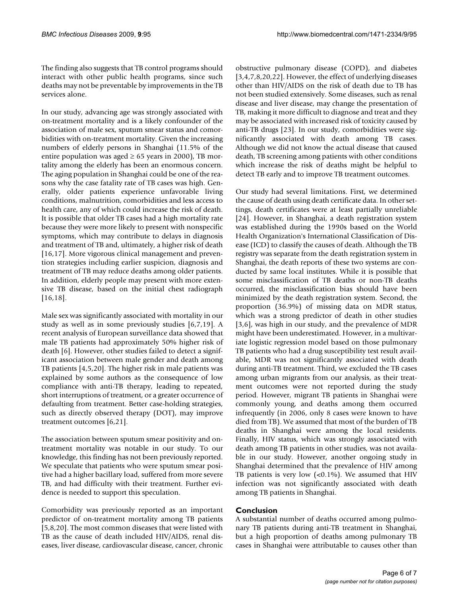The finding also suggests that TB control programs should interact with other public health programs, since such deaths may not be preventable by improvements in the TB services alone.

In our study, advancing age was strongly associated with on-treatment mortality and is a likely confounder of the association of male sex, sputum smear status and comorbidities with on-treatment mortality. Given the increasing numbers of elderly persons in Shanghai (11.5% of the entire population was aged  $\geq 65$  years in 2000), TB mortality among the elderly has been an enormous concern. The aging population in Shanghai could be one of the reasons why the case fatality rate of TB cases was high. Generally, older patients experience unfavorable living conditions, malnutrition, comorbidities and less access to health care, any of which could increase the risk of death. It is possible that older TB cases had a high mortality rate because they were more likely to present with nonspecific symptoms, which may contribute to delays in diagnosis and treatment of TB and, ultimately, a higher risk of death [16,17]. More vigorous clinical management and prevention strategies including earlier suspicion, diagnosis and treatment of TB may reduce deaths among older patients. In addition, elderly people may present with more extensive TB disease, based on the initial chest radiograph [16,18].

Male sex was significantly associated with mortality in our study as well as in some previously studies [6,7,19]. A recent analysis of European surveillance data showed that male TB patients had approximately 50% higher risk of death [6]. However, other studies failed to detect a significant association between male gender and death among TB patients [4,5,20]. The higher risk in male patients was explained by some authors as the consequence of low compliance with anti-TB therapy, leading to repeated, short interruptions of treatment, or a greater occurrence of defaulting from treatment. Better case-holding strategies, such as directly observed therapy (DOT), may improve treatment outcomes [6,21].

The association between sputum smear positivity and ontreatment mortality was notable in our study. To our knowledge, this finding has not been previously reported. We speculate that patients who were sputum smear positive had a higher bacillary load, suffered from more severe TB, and had difficulty with their treatment. Further evidence is needed to support this speculation.

Comorbidity was previously reported as an important predictor of on-treatment mortality among TB patients [5,8,20]. The most common diseases that were listed with TB as the cause of death included HIV/AIDS, renal diseases, liver disease, cardiovascular disease, cancer, chronic obstructive pulmonary disease (COPD), and diabetes [3,4,7,8,20,22]. However, the effect of underlying diseases other than HIV/AIDS on the risk of death due to TB has not been studied extensively. Some diseases, such as renal disease and liver disease, may change the presentation of TB, making it more difficult to diagnose and treat and they may be associated with increased risk of toxicity caused by anti-TB drugs [23]. In our study, comorbidities were significantly associated with death among TB cases. Although we did not know the actual disease that caused death, TB screening among patients with other conditions which increase the risk of deaths might be helpful to detect TB early and to improve TB treatment outcomes.

Our study had several limitations. First, we determined the cause of death using death certificate data. In other settings, death certificates were at least partially unreliable [24]. However, in Shanghai, a death registration system was established during the 1990s based on the World Health Organization's International Classification of Disease (ICD) to classify the causes of death. Although the TB registry was separate from the death registration system in Shanghai, the death reports of these two systems are conducted by same local institutes. While it is possible that some misclassification of TB deaths or non-TB deaths occurred, the misclassification bias should have been minimized by the death registration system. Second, the proportion (36.9%) of missing data on MDR status, which was a strong predictor of death in other studies [3,6], was high in our study, and the prevalence of MDR might have been underestimated. However, in a multivariate logistic regression model based on those pulmonary TB patients who had a drug susceptibility test result available, MDR was not significantly associated with death during anti-TB treatment. Third, we excluded the TB cases among urban migrants from our analysis, as their treatment outcomes were not reported during the study period. However, migrant TB patients in Shanghai were commonly young, and deaths among them occurred infrequently (in 2006, only 8 cases were known to have died from TB). We assumed that most of the burden of TB deaths in Shanghai were among the local residents. Finally, HIV status, which was strongly associated with death among TB patients in other studies, was not available in our study. However, another ongoing study in Shanghai determined that the prevalence of HIV among TB patients is very low  $\left($ <0.1%). We assumed that HIV infection was not significantly associated with death among TB patients in Shanghai.

## **Conclusion**

A substantial number of deaths occurred among pulmonary TB patients during anti-TB treatment in Shanghai, but a high proportion of deaths among pulmonary TB cases in Shanghai were attributable to causes other than